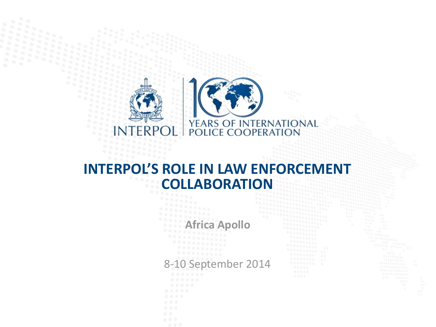

#### **Africa Apollo**

#### 8-10 September 2014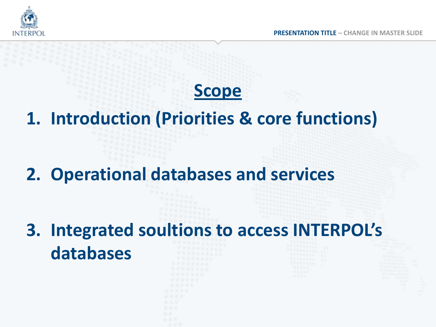

#### **Scope**

**1. Introduction (Priorities & core functions)**

**2. Operational databases and services**

**3. Integrated soultions to access INTERPOL's databases**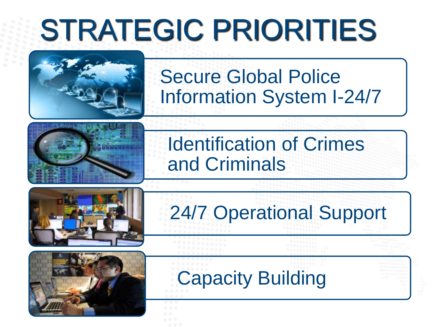## STRATEGIC PRIORITIES







#### Secure Global Police Information System I-24/7

#### Identification of Crimes and Criminals

### 24/7 Operational Support

### Capacity Building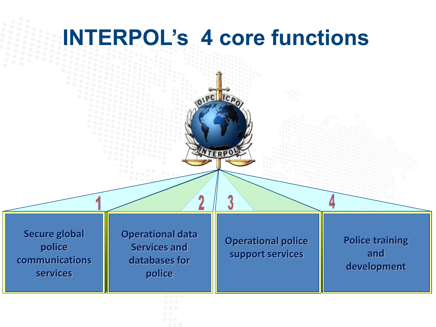### **INTERPOL's 4 core functions**

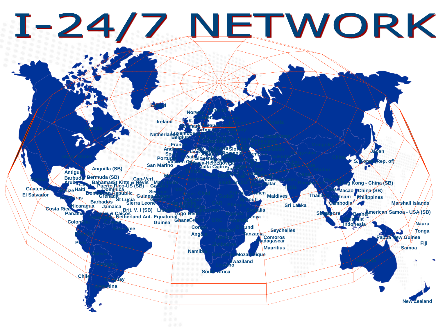# I-24/7 NETWORK

**Czech Republic**

**Germany**

**Sweden**

**Poland** 

**Finland**

**Estonia**

**Hungary**

**Denmark**

**U. K.**

**Norv** 

**Iceland**

**Ireland**

**Catalogue** And Barbadøs **Retherlands Belgium Brita Bermuda (SB) Bosnia-Herzegovina Bulgaria** Slovakia **Costa Rica Cuba Dominican Republic Egypt El Salvador FRACO France Georgia Guatema Israel Italy Asion Communication of the Communication of the Communication of the Asian Lebanon Mexico Vatican City Slovenia Nicaragua Portugal Spain Puerto Rico-US (SB)**<br> **Puerto Rico-US (SB) Gatarram Capacity Capacity Capacity Capacity Capacity Capacity Capacity Capacity Capacity Romania Saudi Arabia** Serbia Montenegro **Turkey Mauritania Senegal Mali Ethiopia Eritrea Niger Chad Sudan Guinea-Bissau (Brunch Leoned State) Sierra Leone** Liberia **Somalia** Somalia Somalia **Gambia**<br> **Haiti**<br> **Haiti**<br> **Haiti**<br> **Haiti**<br> **Gambia**<br> **Gambia Burkina Faso Morocco Anguilla (SB) Barbud Aruba Grenada San Marino Jamaica St Lucia Dominica**

**Canada**

**Colombia Economic Adoption Guyana Panama Suriname Vertherland Ant. Equatorial Angola Togo Netherland Ant.** Equatorial **Cong Ghana Turks & Caicos**<br> **Brit. V. I (SB) Equatorial Guinea**

**Argentina** 

**Way** 

**Paraguay**

**Chile**

**Peru**

**Botswana South Africa LesothoSwaziland lique Namibi Zambia Madagascar** 

**Tanzania Burundi Malawi Seychelles Mauritius**

**Bangladesh**

**Thail**a

**Singapore** 

**Timor Leste**

**Nepal**

**India**

**Sri Lanka**

**Cambodia**

**Laos** 

**Indonesia**

**Ma**la<mark>ysia</mark>

**Armenia**

 $\mathbb{R}$ 

**Digital** 

**Moldova**

**Bahrain** 

**ien** 

**Kenya**

**Rwanda**

**Pakistan**

**Maldives**

en. o

**Hong Kong - China (SB)**

**Macao - China (SB)**

**Philippines** 

**American Samoa - USA (SB) Brunei Fiji Marshall Islands Nauru Lew Guinea Tonga Samoa**

**New Zealand**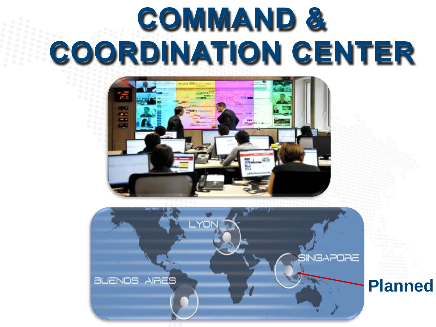## COMMAND & COORDINATION CENTER





**Planned**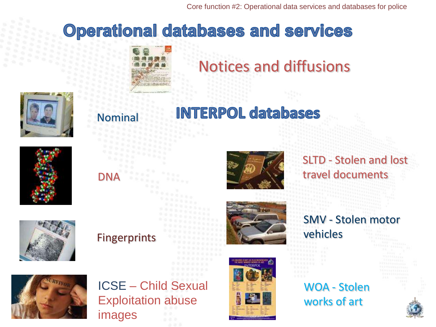Core function #2: Operational data services and databases for police

#### **Operational databases and services**



#### Notices and diffusions



#### Nominal

**INTERPOL databases** 

#### SLTD - Stolen and lost DNA travel documents



#### Fingerprints



#### SMV - Stolen motor

vehicles

WOA - Stolen works of art



#### ICSE – Child Sexual Exploitation abuse images

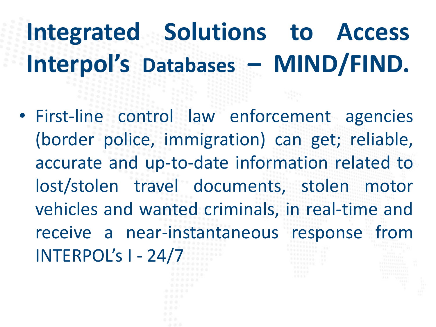### **Integrated Solutions to Access Interpol's Databases – MIND/FIND.**

- First-line control law enforcement agencies (border police, immigration) can get; reliable, accurate and up-to-date information related to lost/stolen travel documents, stolen motor vehicles and wanted criminals, in real-time and receive a near-instantaneous response from INTERPOL's I - 24/7
	-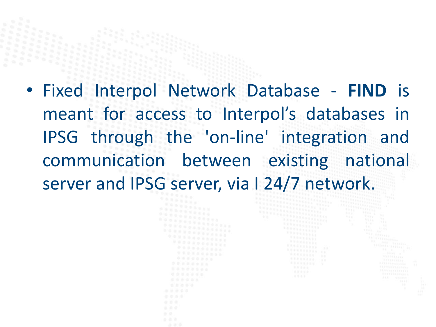• Fixed Interpol Network Database - **FIND** is meant for access to Interpol's databases in IPSG through the 'on-line' integration and communication between existing national server and IPSG server, via I 24/7 network.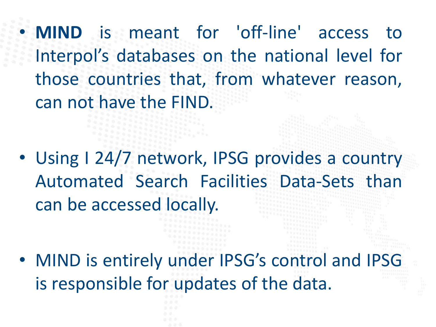• **MIND** is meant for 'off-line' access to Interpol's databases on the national level for those countries that, from whatever reason, can not have the FIND.

• Using I 24/7 network, IPSG provides a country Automated Search Facilities Data-Sets than can be accessed locally.

• MIND is entirely under IPSG's control and IPSG is responsible for updates of the data.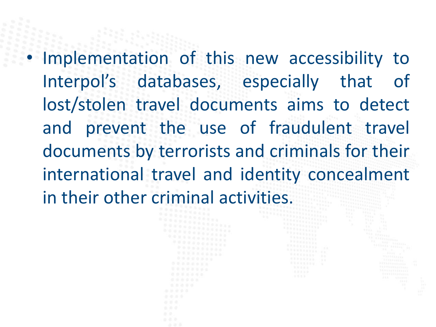• Implementation of this new accessibility to Interpol's databases, especially that of lost/stolen travel documents aims to detect and prevent the use of fraudulent travel documents by terrorists and criminals for their international travel and identity concealment in their other criminal activities.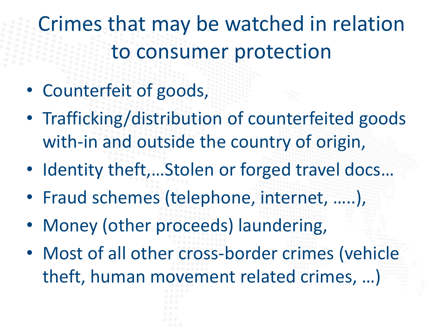Crimes that may be watched in relation to consumer protection

- Counterfeit of goods,
- Trafficking/distribution of counterfeited goods with-in and outside the country of origin,
- Identity theft,...Stolen or forged travel docs...
- Fraud schemes (telephone, internet, …..),
- Money (other proceeds) laundering,
- Most of all other cross-border crimes (vehicle theft, human movement related crimes, …)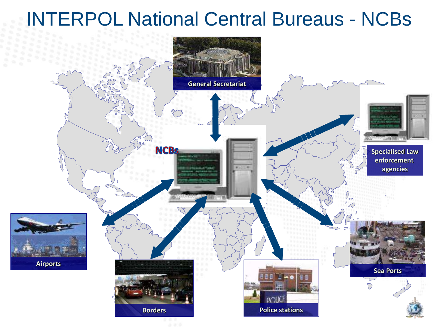#### INTERPOL National Central Bureaus - NCBs

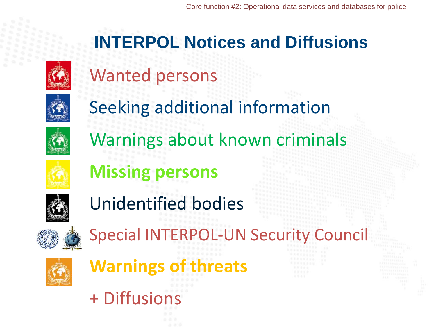

#### **INTERPOL Notices and Diffusions**





Warnings about known criminals

Seeking additional information



**Missing persons**



Unidentified bodies



Special INTERPOL-UN Security Council



**Warnings of threats**

+ Diffusions